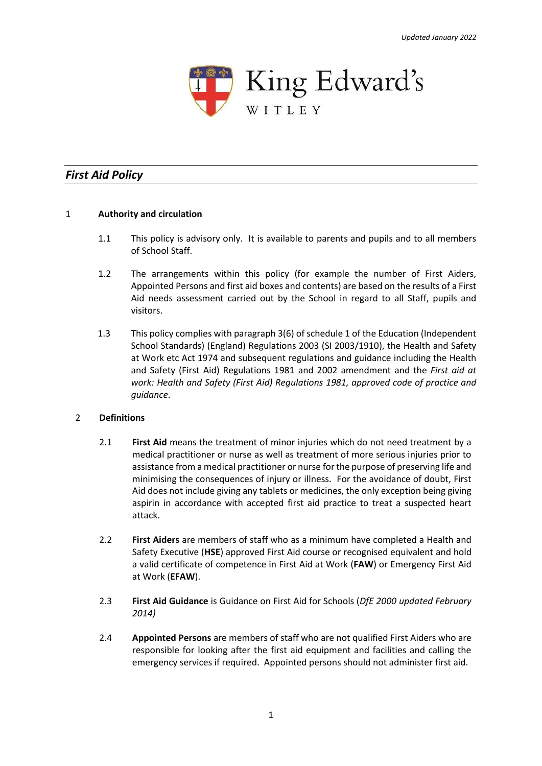

# *First Aid Policy*

## 1 **Authority and circulation**

- 1.1 This policy is advisory only. It is available to parents and pupils and to all members of School Staff.
- 1.2 The arrangements within this policy (for example the number of First Aiders, Appointed Persons and first aid boxes and contents) are based on the results of a First Aid needs assessment carried out by the School in regard to all Staff, pupils and visitors.
- 1.3 This policy complies with paragraph 3(6) of schedule 1 of the Education (Independent School Standards) (England) Regulations 2003 (SI 2003/1910), the Health and Safety at Work etc Act 1974 and subsequent regulations and guidance including the Health and Safety (First Aid) Regulations 1981 and 2002 amendment and the *First aid at work: Health and Safety (First Aid) Regulations 1981, approved code of practice and guidance*.

## 2 **Definitions**

- 2.1 **First Aid** means the treatment of minor injuries which do not need treatment by a medical practitioner or nurse as well as treatment of more serious injuries prior to assistance from a medical practitioner or nurse for the purpose of preserving life and minimising the consequences of injury or illness. For the avoidance of doubt, First Aid does not include giving any tablets or medicines, the only exception being giving aspirin in accordance with accepted first aid practice to treat a suspected heart attack.
- 2.2 **First Aiders** are members of staff who as a minimum have completed a Health and Safety Executive (**HSE**) approved First Aid course or recognised equivalent and hold a valid certificate of competence in First Aid at Work (**FAW**) or Emergency First Aid at Work (**EFAW**).
- 2.3 **First Aid Guidance** is Guidance on First Aid for Schools (*DfE 2000 updated February 2014)*
- 2.4 **Appointed Persons** are members of staff who are not qualified First Aiders who are responsible for looking after the first aid equipment and facilities and calling the emergency services if required. Appointed persons should not administer first aid.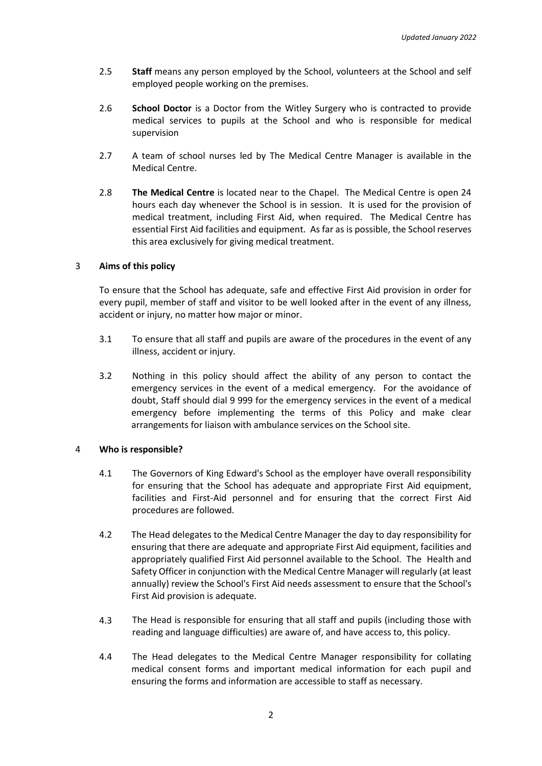- 2.5 **Staff** means any person employed by the School, volunteers at the School and self employed people working on the premises.
- 2.6 **School Doctor** is a Doctor from the Witley Surgery who is contracted to provide medical services to pupils at the School and who is responsible for medical supervision
- 2.7 A team of school nurses led by The Medical Centre Manager is available in the Medical Centre.
- 2.8 **The Medical Centre** is located near to the Chapel. The Medical Centre is open 24 hours each day whenever the School is in session. It is used for the provision of medical treatment, including First Aid, when required. The Medical Centre has essential First Aid facilities and equipment. As far as is possible, the School reserves this area exclusively for giving medical treatment.

## 3 **Aims of this policy**

To ensure that the School has adequate, safe and effective First Aid provision in order for every pupil, member of staff and visitor to be well looked after in the event of any illness, accident or injury, no matter how major or minor.

- 3.1 To ensure that all staff and pupils are aware of the procedures in the event of any illness, accident or injury.
- 3.2 Nothing in this policy should affect the ability of any person to contact the emergency services in the event of a medical emergency. For the avoidance of doubt, Staff should dial 9 999 for the emergency services in the event of a medical emergency before implementing the terms of this Policy and make clear arrangements for liaison with ambulance services on the School site.

## 4 **Who is responsible?**

- 4.1 The Governors of King Edward's School as the employer have overall responsibility for ensuring that the School has adequate and appropriate First Aid equipment, facilities and First-Aid personnel and for ensuring that the correct First Aid procedures are followed.
- 4.2 The Head delegates to the Medical Centre Manager the day to day responsibility for ensuring that there are adequate and appropriate First Aid equipment, facilities and appropriately qualified First Aid personnel available to the School. The Health and Safety Officer in conjunction with the Medical Centre Manager will regularly (at least annually) review the School's First Aid needs assessment to ensure that the School's First Aid provision is adequate.
- 4.3 The Head is responsible for ensuring that all staff and pupils (including those with reading and language difficulties) are aware of, and have access to, this policy.
- 4.4 The Head delegates to the Medical Centre Manager responsibility for collating medical consent forms and important medical information for each pupil and ensuring the forms and information are accessible to staff as necessary.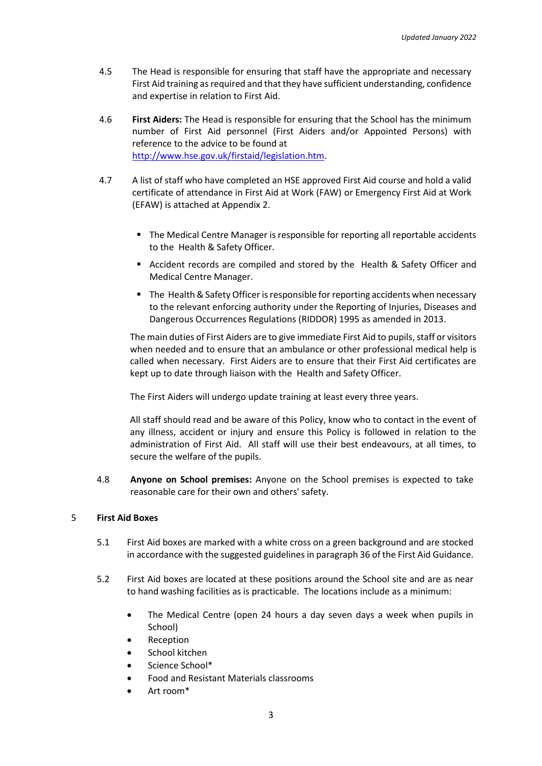- 4.5 The Head is responsible for ensuring that staff have the appropriate and necessary First Aid training as required and that they have sufficient understanding, confidence and expertise in relation to First Aid.
- 4.6 **First Aiders:** The Head is responsible for ensuring that the School has the minimum number of First Aid personnel (First Aiders and/or Appointed Persons) with reference to the advice to be found at [http://www.hse.gov.uk/firstaid/legislation.htm.](http://www.hse.gov.uk/firstaid/legislation.htm)
- 4.7 A list of staff who have completed an HSE approved First Aid course and hold a valid certificate of attendance in First Aid at Work (FAW) or Emergency First Aid at Work (EFAW) is attached at Appendix 2.
	- The Medical Centre Manager is responsible for reporting all reportable accidents to the Health & Safety Officer.
	- Accident records are compiled and stored by the Health & Safety Officer and Medical Centre Manager.
	- The Health & Safety Officer is responsible for reporting accidents when necessary to the relevant enforcing authority under the Reporting of Injuries, Diseases and Dangerous Occurrences Regulations (RIDDOR) 1995 as amended in 2013.

The main duties of First Aiders are to give immediate First Aid to pupils, staff or visitors when needed and to ensure that an ambulance or other professional medical help is called when necessary. First Aiders are to ensure that their First Aid certificates are kept up to date through liaison with the Health and Safety Officer.

The First Aiders will undergo update training at least every three years.

All staff should read and be aware of this Policy, know who to contact in the event of any illness, accident or injury and ensure this Policy is followed in relation to the administration of First Aid. All staff will use their best endeavours, at all times, to secure the welfare of the pupils.

4.8 **Anyone on School premises:** Anyone on the School premises is expected to take reasonable care for their own and others' safety.

## 5 **First Aid Boxes**

- 5.1 First Aid boxes are marked with a white cross on a green background and are stocked in accordance with the suggested guidelines in paragraph 36 of the First Aid Guidance.
- 5.2 First Aid boxes are located at these positions around the School site and are as near to hand washing facilities as is practicable. The locations include as a minimum:
	- The Medical Centre (open 24 hours a day seven days a week when pupils in School)
	- **Reception**
	- School kitchen
	- Science School\*
	- Food and Resistant Materials classrooms
	- Art room\*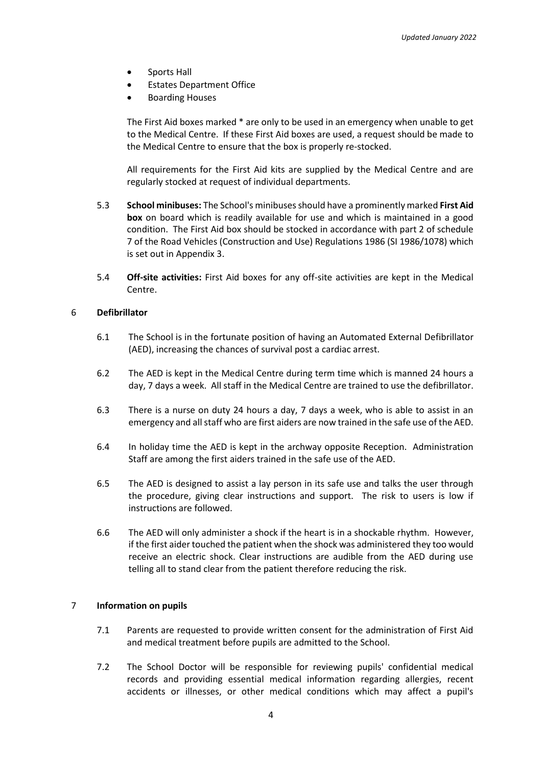- Sports Hall
- **Estates Department Office**
- Boarding Houses

The First Aid boxes marked \* are only to be used in an emergency when unable to get to the Medical Centre. If these First Aid boxes are used, a request should be made to the Medical Centre to ensure that the box is properly re-stocked.

All requirements for the First Aid kits are supplied by the Medical Centre and are regularly stocked at request of individual departments.

- 5.3 **School minibuses:** The School's minibuses should have a prominently marked **First Aid box** on board which is readily available for use and which is maintained in a good condition. The First Aid box should be stocked in accordance with part 2 of schedule 7 of the Road Vehicles (Construction and Use) Regulations 1986 (SI 1986/1078) which is set out in Appendix 3.
- 5.4 **Off-site activities:** First Aid boxes for any off-site activities are kept in the Medical Centre.

## 6 **Defibrillator**

- 6.1 The School is in the fortunate position of having an Automated External Defibrillator (AED), increasing the chances of survival post a cardiac arrest.
- 6.2 The AED is kept in the Medical Centre during term time which is manned 24 hours a day, 7 days a week. All staff in the Medical Centre are trained to use the defibrillator.
- 6.3 There is a nurse on duty 24 hours a day, 7 days a week, who is able to assist in an emergency and all staff who are first aiders are now trained in the safe use of the AED.
- 6.4 In holiday time the AED is kept in the archway opposite Reception. Administration Staff are among the first aiders trained in the safe use of the AED.
- 6.5 The AED is designed to assist a lay person in its safe use and talks the user through the procedure, giving clear instructions and support. The risk to users is low if instructions are followed.
- 6.6 The AED will only administer a shock if the heart is in a shockable rhythm. However, if the first aider touched the patient when the shock was administered they too would receive an electric shock. Clear instructions are audible from the AED during use telling all to stand clear from the patient therefore reducing the risk.

## 7 **Information on pupils**

- 7.1 Parents are requested to provide written consent for the administration of First Aid and medical treatment before pupils are admitted to the School.
- 7.2 The School Doctor will be responsible for reviewing pupils' confidential medical records and providing essential medical information regarding allergies, recent accidents or illnesses, or other medical conditions which may affect a pupil's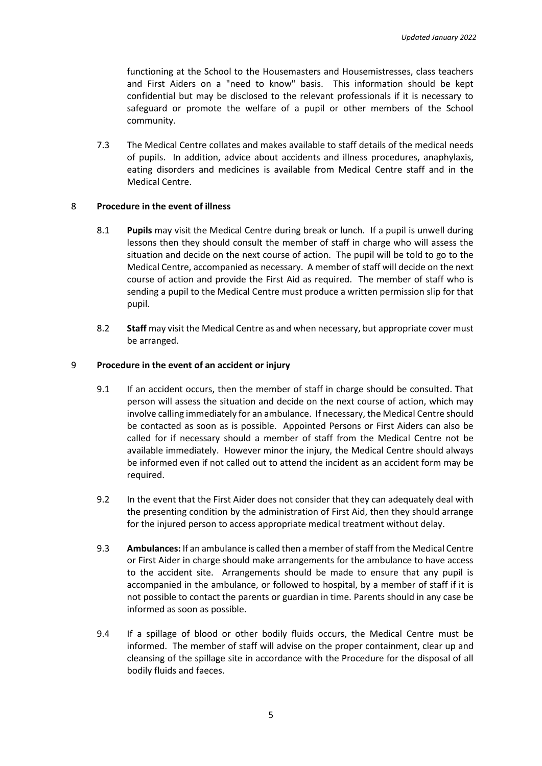functioning at the School to the Housemasters and Housemistresses, class teachers and First Aiders on a "need to know" basis. This information should be kept confidential but may be disclosed to the relevant professionals if it is necessary to safeguard or promote the welfare of a pupil or other members of the School community.

7.3 The Medical Centre collates and makes available to staff details of the medical needs of pupils. In addition, advice about accidents and illness procedures, anaphylaxis, eating disorders and medicines is available from Medical Centre staff and in the Medical Centre.

## 8 **Procedure in the event of illness**

- 8.1 **Pupils** may visit the Medical Centre during break or lunch. If a pupil is unwell during lessons then they should consult the member of staff in charge who will assess the situation and decide on the next course of action. The pupil will be told to go to the Medical Centre, accompanied as necessary. A member of staff will decide on the next course of action and provide the First Aid as required. The member of staff who is sending a pupil to the Medical Centre must produce a written permission slip for that pupil.
- 8.2 **Staff** may visit the Medical Centre as and when necessary, but appropriate cover must be arranged.

### 9 **Procedure in the event of an accident or injury**

- 9.1 If an accident occurs, then the member of staff in charge should be consulted. That person will assess the situation and decide on the next course of action, which may involve calling immediately for an ambulance. If necessary, the Medical Centre should be contacted as soon as is possible. Appointed Persons or First Aiders can also be called for if necessary should a member of staff from the Medical Centre not be available immediately. However minor the injury, the Medical Centre should always be informed even if not called out to attend the incident as an accident form may be required.
- 9.2 In the event that the First Aider does not consider that they can adequately deal with the presenting condition by the administration of First Aid, then they should arrange for the injured person to access appropriate medical treatment without delay.
- 9.3 **Ambulances:** If an ambulance is called then a member of staff from the Medical Centre or First Aider in charge should make arrangements for the ambulance to have access to the accident site. Arrangements should be made to ensure that any pupil is accompanied in the ambulance, or followed to hospital, by a member of staff if it is not possible to contact the parents or guardian in time. Parents should in any case be informed as soon as possible.
- 9.4 If a spillage of blood or other bodily fluids occurs, the Medical Centre must be informed. The member of staff will advise on the proper containment, clear up and cleansing of the spillage site in accordance with the Procedure for the disposal of all bodily fluids and faeces.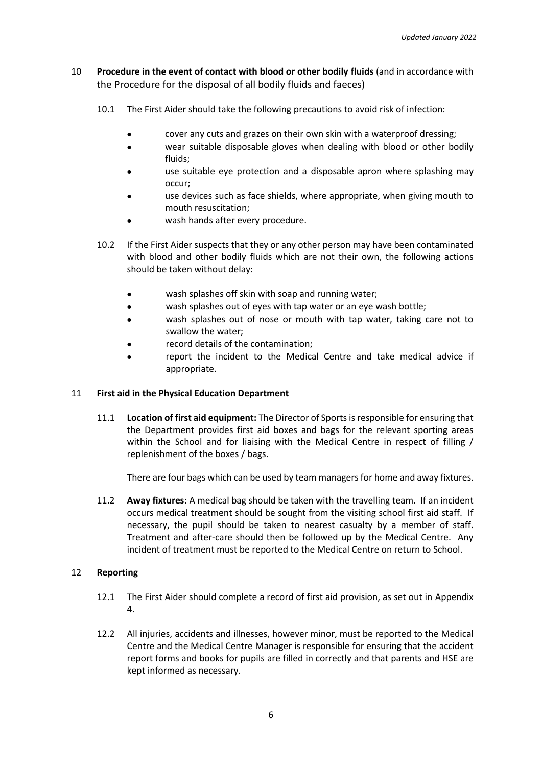- 10 **Procedure in the event of contact with blood or other bodily fluids** (and in accordance with the Procedure for the disposal of all bodily fluids and faeces)
	- 10.1 The First Aider should take the following precautions to avoid risk of infection:
		- cover any cuts and grazes on their own skin with a waterproof dressing;
		- wear suitable disposable gloves when dealing with blood or other bodily fluids;
		- use suitable eye protection and a disposable apron where splashing may occur;
		- use devices such as face shields, where appropriate, when giving mouth to mouth resuscitation;
		- wash hands after every procedure.
	- 10.2 If the First Aider suspects that they or any other person may have been contaminated with blood and other bodily fluids which are not their own, the following actions should be taken without delay:
		- wash splashes off skin with soap and running water;
		- wash splashes out of eyes with tap water or an eye wash bottle;
		- wash splashes out of nose or mouth with tap water, taking care not to swallow the water;
		- record details of the contamination;
		- report the incident to the Medical Centre and take medical advice if appropriate.

## 11 **First aid in the Physical Education Department**

11.1 **Location of first aid equipment:** The Director of Sports is responsible for ensuring that the Department provides first aid boxes and bags for the relevant sporting areas within the School and for liaising with the Medical Centre in respect of filling / replenishment of the boxes / bags.

There are four bags which can be used by team managers for home and away fixtures.

11.2 **Away fixtures:** A medical bag should be taken with the travelling team. If an incident occurs medical treatment should be sought from the visiting school first aid staff. If necessary, the pupil should be taken to nearest casualty by a member of staff. Treatment and after-care should then be followed up by the Medical Centre. Any incident of treatment must be reported to the Medical Centre on return to School.

## 12 **Reporting**

- 12.1 The First Aider should complete a record of first aid provision, as set out in Appendix 4.
- 12.2 All injuries, accidents and illnesses, however minor, must be reported to the Medical Centre and the Medical Centre Manager is responsible for ensuring that the accident report forms and books for pupils are filled in correctly and that parents and HSE are kept informed as necessary.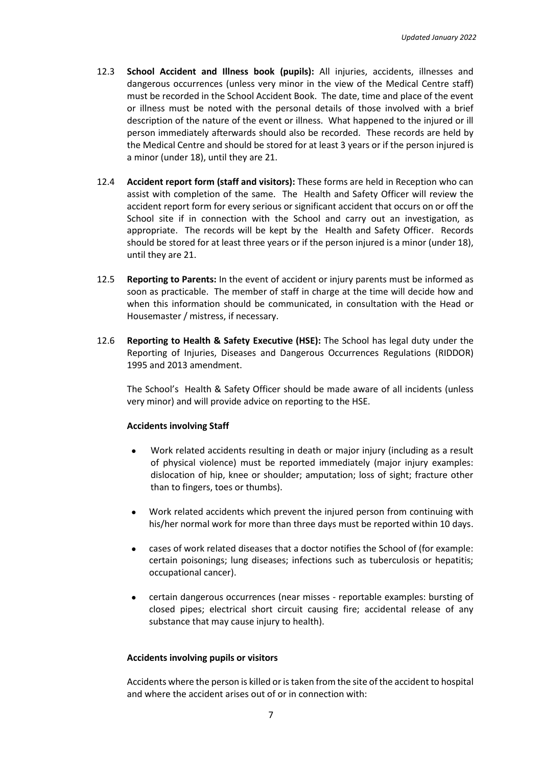- 12.3 **School Accident and Illness book (pupils):** All injuries, accidents, illnesses and dangerous occurrences (unless very minor in the view of the Medical Centre staff) must be recorded in the School Accident Book. The date, time and place of the event or illness must be noted with the personal details of those involved with a brief description of the nature of the event or illness. What happened to the injured or ill person immediately afterwards should also be recorded. These records are held by the Medical Centre and should be stored for at least 3 years or if the person injured is a minor (under 18), until they are 21.
- 12.4 **Accident report form (staff and visitors):** These forms are held in Reception who can assist with completion of the same. The Health and Safety Officer will review the accident report form for every serious or significant accident that occurs on or off the School site if in connection with the School and carry out an investigation, as appropriate. The records will be kept by the Health and Safety Officer. Records should be stored for at least three years or if the person injured is a minor (under 18), until they are 21.
- 12.5 **Reporting to Parents:** In the event of accident or injury parents must be informed as soon as practicable. The member of staff in charge at the time will decide how and when this information should be communicated, in consultation with the Head or Housemaster / mistress, if necessary.
- 12.6 **Reporting to Health & Safety Executive (HSE):** The School has legal duty under the Reporting of Injuries, Diseases and Dangerous Occurrences Regulations (RIDDOR) 1995 and 2013 amendment.

The School's Health & Safety Officer should be made aware of all incidents (unless very minor) and will provide advice on reporting to the HSE.

#### **Accidents involving Staff**

- Work related accidents resulting in death or major injury (including as a result of physical violence) must be reported immediately (major injury examples: dislocation of hip, knee or shoulder; amputation; loss of sight; fracture other than to fingers, toes or thumbs).
- Work related accidents which prevent the injured person from continuing with his/her normal work for more than three days must be reported within 10 days.
- cases of work related diseases that a doctor notifies the School of (for example: certain poisonings; lung diseases; infections such as tuberculosis or hepatitis; occupational cancer).
- certain dangerous occurrences (near misses reportable examples: bursting of closed pipes; electrical short circuit causing fire; accidental release of any substance that may cause injury to health).

#### **Accidents involving pupils or visitors**

Accidents where the person is killed or is taken from the site of the accident to hospital and where the accident arises out of or in connection with: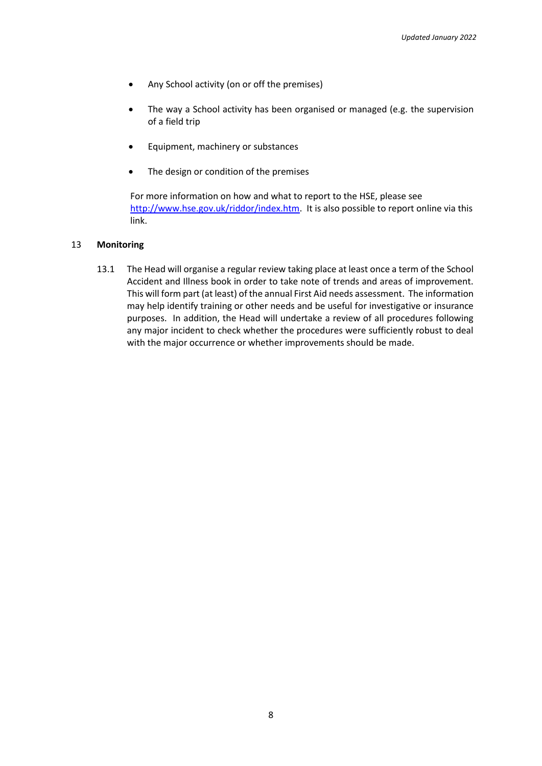- Any School activity (on or off the premises)
- The way a School activity has been organised or managed (e.g. the supervision of a field trip
- Equipment, machinery or substances
- The design or condition of the premises

For more information on how and what to report to the HSE, please see [http://www.hse.gov.uk/riddor/index.htm.](http://www.hse.gov.uk/riddor/index.htm) It is also possible to report online via this link.

## 13 **Monitoring**

13.1 The Head will organise a regular review taking place at least once a term of the School Accident and Illness book in order to take note of trends and areas of improvement. This will form part (at least) of the annual First Aid needs assessment. The information may help identify training or other needs and be useful for investigative or insurance purposes. In addition, the Head will undertake a review of all procedures following any major incident to check whether the procedures were sufficiently robust to deal with the major occurrence or whether improvements should be made.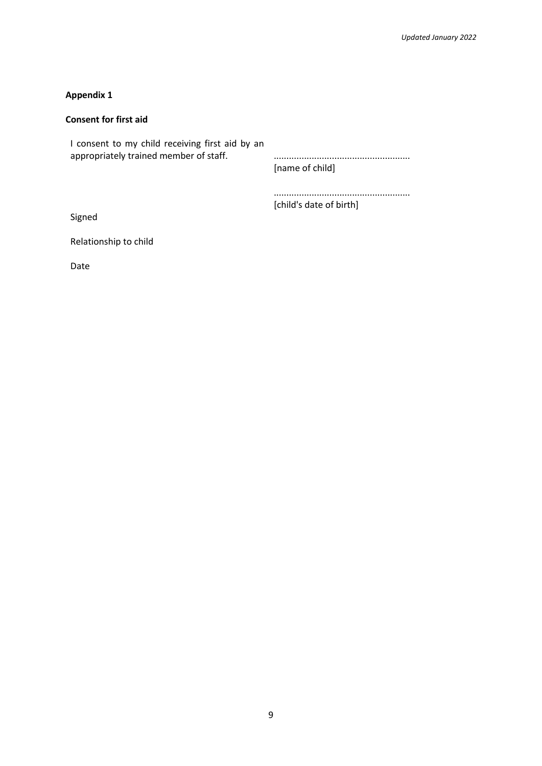## **Consent for first aid**

I consent to my child receiving first aid by an appropriately trained member of staff. ...................................................... [name of child]

> ...................................................... [child's date of birth]

Signed

Relationship to child

Date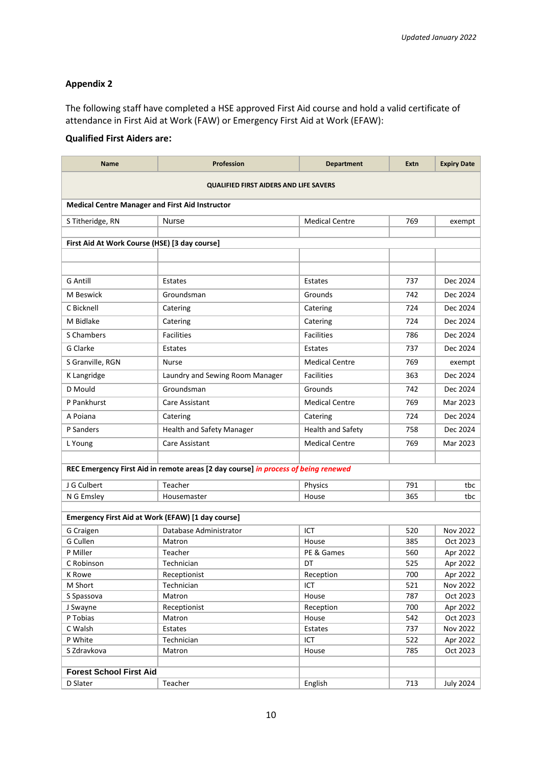The following staff have completed a HSE approved First Aid course and hold a valid certificate of attendance in First Aid at Work (FAW) or Emergency First Aid at Work (EFAW):

# **Qualified First Aiders are:**

| <b>QUALIFIED FIRST AIDERS AND LIFE SAVERS</b><br><b>Medical Centre Manager and First Aid Instructor</b><br><b>Nurse</b><br>S Titheridge, RN<br><b>Medical Centre</b><br>769<br>exempt<br>First Aid At Work Course (HSE) [3 day course]<br><b>G</b> Antill<br>737<br>Dec 2024<br>Estates<br>Estates<br>M Beswick<br>Dec 2024<br>Groundsman<br>Grounds<br>742<br>C Bicknell<br>Dec 2024<br>Catering<br>724<br>Catering<br>M Bidlake<br>Dec 2024<br>Catering<br>724<br>Catering<br>S Chambers<br><b>Facilities</b><br><b>Facilities</b><br>786<br>Dec 2024<br>G Clarke<br>737<br>Dec 2024<br>Estates<br>Estates<br>S Granville, RGN<br><b>Medical Centre</b><br><b>Nurse</b><br>769<br>exempt<br>K Langridge<br><b>Facilities</b><br>Dec 2024<br>Laundry and Sewing Room Manager<br>363<br>Groundsman<br>D Mould<br>Grounds<br>742<br>Dec 2024<br>P Pankhurst<br><b>Medical Centre</b><br>769<br>Mar 2023<br>Care Assistant<br>724<br>Dec 2024<br>A Poiana<br>Catering<br>Catering<br>P Sanders<br>Health and Safety Manager<br>Health and Safety<br>758<br>Dec 2024 | Name    | <b>Profession</b> | <b>Department</b>     | Extn | <b>Expiry Date</b> |  |  |  |
|-------------------------------------------------------------------------------------------------------------------------------------------------------------------------------------------------------------------------------------------------------------------------------------------------------------------------------------------------------------------------------------------------------------------------------------------------------------------------------------------------------------------------------------------------------------------------------------------------------------------------------------------------------------------------------------------------------------------------------------------------------------------------------------------------------------------------------------------------------------------------------------------------------------------------------------------------------------------------------------------------------------------------------------------------------------------|---------|-------------------|-----------------------|------|--------------------|--|--|--|
|                                                                                                                                                                                                                                                                                                                                                                                                                                                                                                                                                                                                                                                                                                                                                                                                                                                                                                                                                                                                                                                                   |         |                   |                       |      |                    |  |  |  |
|                                                                                                                                                                                                                                                                                                                                                                                                                                                                                                                                                                                                                                                                                                                                                                                                                                                                                                                                                                                                                                                                   |         |                   |                       |      |                    |  |  |  |
|                                                                                                                                                                                                                                                                                                                                                                                                                                                                                                                                                                                                                                                                                                                                                                                                                                                                                                                                                                                                                                                                   |         |                   |                       |      |                    |  |  |  |
|                                                                                                                                                                                                                                                                                                                                                                                                                                                                                                                                                                                                                                                                                                                                                                                                                                                                                                                                                                                                                                                                   |         |                   |                       |      |                    |  |  |  |
|                                                                                                                                                                                                                                                                                                                                                                                                                                                                                                                                                                                                                                                                                                                                                                                                                                                                                                                                                                                                                                                                   |         |                   |                       |      |                    |  |  |  |
|                                                                                                                                                                                                                                                                                                                                                                                                                                                                                                                                                                                                                                                                                                                                                                                                                                                                                                                                                                                                                                                                   |         |                   |                       |      |                    |  |  |  |
|                                                                                                                                                                                                                                                                                                                                                                                                                                                                                                                                                                                                                                                                                                                                                                                                                                                                                                                                                                                                                                                                   |         |                   |                       |      |                    |  |  |  |
|                                                                                                                                                                                                                                                                                                                                                                                                                                                                                                                                                                                                                                                                                                                                                                                                                                                                                                                                                                                                                                                                   |         |                   |                       |      |                    |  |  |  |
|                                                                                                                                                                                                                                                                                                                                                                                                                                                                                                                                                                                                                                                                                                                                                                                                                                                                                                                                                                                                                                                                   |         |                   |                       |      |                    |  |  |  |
|                                                                                                                                                                                                                                                                                                                                                                                                                                                                                                                                                                                                                                                                                                                                                                                                                                                                                                                                                                                                                                                                   |         |                   |                       |      |                    |  |  |  |
|                                                                                                                                                                                                                                                                                                                                                                                                                                                                                                                                                                                                                                                                                                                                                                                                                                                                                                                                                                                                                                                                   |         |                   |                       |      |                    |  |  |  |
|                                                                                                                                                                                                                                                                                                                                                                                                                                                                                                                                                                                                                                                                                                                                                                                                                                                                                                                                                                                                                                                                   |         |                   |                       |      |                    |  |  |  |
|                                                                                                                                                                                                                                                                                                                                                                                                                                                                                                                                                                                                                                                                                                                                                                                                                                                                                                                                                                                                                                                                   |         |                   |                       |      |                    |  |  |  |
|                                                                                                                                                                                                                                                                                                                                                                                                                                                                                                                                                                                                                                                                                                                                                                                                                                                                                                                                                                                                                                                                   |         |                   |                       |      |                    |  |  |  |
|                                                                                                                                                                                                                                                                                                                                                                                                                                                                                                                                                                                                                                                                                                                                                                                                                                                                                                                                                                                                                                                                   |         |                   |                       |      |                    |  |  |  |
|                                                                                                                                                                                                                                                                                                                                                                                                                                                                                                                                                                                                                                                                                                                                                                                                                                                                                                                                                                                                                                                                   |         |                   |                       |      |                    |  |  |  |
|                                                                                                                                                                                                                                                                                                                                                                                                                                                                                                                                                                                                                                                                                                                                                                                                                                                                                                                                                                                                                                                                   |         |                   |                       |      |                    |  |  |  |
|                                                                                                                                                                                                                                                                                                                                                                                                                                                                                                                                                                                                                                                                                                                                                                                                                                                                                                                                                                                                                                                                   |         |                   |                       |      |                    |  |  |  |
|                                                                                                                                                                                                                                                                                                                                                                                                                                                                                                                                                                                                                                                                                                                                                                                                                                                                                                                                                                                                                                                                   |         |                   |                       |      |                    |  |  |  |
|                                                                                                                                                                                                                                                                                                                                                                                                                                                                                                                                                                                                                                                                                                                                                                                                                                                                                                                                                                                                                                                                   |         |                   |                       |      |                    |  |  |  |
|                                                                                                                                                                                                                                                                                                                                                                                                                                                                                                                                                                                                                                                                                                                                                                                                                                                                                                                                                                                                                                                                   | L Young | Care Assistant    | <b>Medical Centre</b> | 769  | Mar 2023           |  |  |  |
|                                                                                                                                                                                                                                                                                                                                                                                                                                                                                                                                                                                                                                                                                                                                                                                                                                                                                                                                                                                                                                                                   |         |                   |                       |      |                    |  |  |  |
| REC Emergency First Aid in remote areas [2 day course] in process of being renewed                                                                                                                                                                                                                                                                                                                                                                                                                                                                                                                                                                                                                                                                                                                                                                                                                                                                                                                                                                                |         |                   |                       |      |                    |  |  |  |
| J G Culbert<br>Teacher<br>791<br>Physics<br>tbc                                                                                                                                                                                                                                                                                                                                                                                                                                                                                                                                                                                                                                                                                                                                                                                                                                                                                                                                                                                                                   |         |                   |                       |      |                    |  |  |  |
| 365<br>N G Emsley<br>Housemaster<br>tbc<br>House                                                                                                                                                                                                                                                                                                                                                                                                                                                                                                                                                                                                                                                                                                                                                                                                                                                                                                                                                                                                                  |         |                   |                       |      |                    |  |  |  |
|                                                                                                                                                                                                                                                                                                                                                                                                                                                                                                                                                                                                                                                                                                                                                                                                                                                                                                                                                                                                                                                                   |         |                   |                       |      |                    |  |  |  |
| Emergency First Aid at Work (EFAW) [1 day course]                                                                                                                                                                                                                                                                                                                                                                                                                                                                                                                                                                                                                                                                                                                                                                                                                                                                                                                                                                                                                 |         |                   |                       |      |                    |  |  |  |
| ICT<br>Nov 2022<br>G Craigen<br>Database Administrator<br>520                                                                                                                                                                                                                                                                                                                                                                                                                                                                                                                                                                                                                                                                                                                                                                                                                                                                                                                                                                                                     |         |                   |                       |      |                    |  |  |  |
| G Cullen<br>385<br>Oct 2023<br>House<br>Matron                                                                                                                                                                                                                                                                                                                                                                                                                                                                                                                                                                                                                                                                                                                                                                                                                                                                                                                                                                                                                    |         |                   |                       |      |                    |  |  |  |
| P Miller<br>PE & Games<br>Apr 2022<br>Teacher<br>560                                                                                                                                                                                                                                                                                                                                                                                                                                                                                                                                                                                                                                                                                                                                                                                                                                                                                                                                                                                                              |         |                   |                       |      |                    |  |  |  |
| 525<br>DT<br>Apr 2022<br>C Robinson<br>Technician                                                                                                                                                                                                                                                                                                                                                                                                                                                                                                                                                                                                                                                                                                                                                                                                                                                                                                                                                                                                                 |         |                   |                       |      |                    |  |  |  |
| Reception<br>Receptionist<br>700<br>Apr 2022<br>K Rowe                                                                                                                                                                                                                                                                                                                                                                                                                                                                                                                                                                                                                                                                                                                                                                                                                                                                                                                                                                                                            |         |                   |                       |      |                    |  |  |  |
| ICT<br>521<br>M Short<br>Nov 2022<br>Technician                                                                                                                                                                                                                                                                                                                                                                                                                                                                                                                                                                                                                                                                                                                                                                                                                                                                                                                                                                                                                   |         |                   |                       |      |                    |  |  |  |
| 787<br>Oct 2023<br>S Spassova<br>Matron<br>House                                                                                                                                                                                                                                                                                                                                                                                                                                                                                                                                                                                                                                                                                                                                                                                                                                                                                                                                                                                                                  |         |                   |                       |      |                    |  |  |  |
| 700<br>J Swayne<br>Receptionist<br>Reception<br>Apr 2022                                                                                                                                                                                                                                                                                                                                                                                                                                                                                                                                                                                                                                                                                                                                                                                                                                                                                                                                                                                                          |         |                   |                       |      |                    |  |  |  |
| P Tobias<br>Oct 2023<br>542<br>House<br>Matron                                                                                                                                                                                                                                                                                                                                                                                                                                                                                                                                                                                                                                                                                                                                                                                                                                                                                                                                                                                                                    |         |                   |                       |      |                    |  |  |  |
| C Walsh<br>737<br><b>Nov 2022</b><br>Estates<br>Estates                                                                                                                                                                                                                                                                                                                                                                                                                                                                                                                                                                                                                                                                                                                                                                                                                                                                                                                                                                                                           |         |                   |                       |      |                    |  |  |  |
| P White<br>522<br>ICT<br>Technician<br>Apr 2022                                                                                                                                                                                                                                                                                                                                                                                                                                                                                                                                                                                                                                                                                                                                                                                                                                                                                                                                                                                                                   |         |                   |                       |      |                    |  |  |  |
| S Zdravkova<br>785<br>Oct 2023<br>House<br>Matron                                                                                                                                                                                                                                                                                                                                                                                                                                                                                                                                                                                                                                                                                                                                                                                                                                                                                                                                                                                                                 |         |                   |                       |      |                    |  |  |  |
| <b>Forest School First Aid</b>                                                                                                                                                                                                                                                                                                                                                                                                                                                                                                                                                                                                                                                                                                                                                                                                                                                                                                                                                                                                                                    |         |                   |                       |      |                    |  |  |  |
| Teacher<br>713<br>D Slater<br>English<br><b>July 2024</b>                                                                                                                                                                                                                                                                                                                                                                                                                                                                                                                                                                                                                                                                                                                                                                                                                                                                                                                                                                                                         |         |                   |                       |      |                    |  |  |  |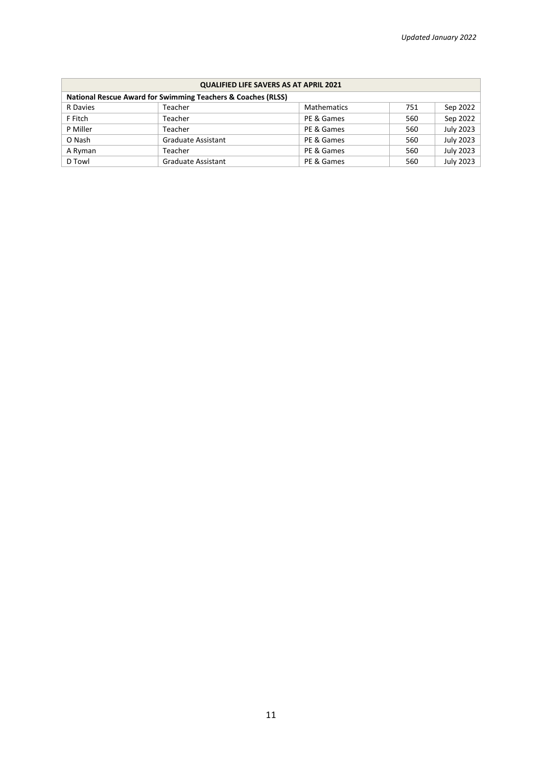| <b>QUALIFIED LIFE SAVERS AS AT APRIL 2021</b>                           |                           |                    |     |                  |  |  |  |
|-------------------------------------------------------------------------|---------------------------|--------------------|-----|------------------|--|--|--|
| <b>National Rescue Award for Swimming Teachers &amp; Coaches (RLSS)</b> |                           |                    |     |                  |  |  |  |
| R Davies                                                                | Teacher                   | <b>Mathematics</b> | 751 | Sep 2022         |  |  |  |
| F Fitch                                                                 | Teacher                   | PE & Games         | 560 | Sep 2022         |  |  |  |
| P Miller                                                                | Teacher                   | PE & Games         | 560 | <b>July 2023</b> |  |  |  |
| O Nash                                                                  | <b>Graduate Assistant</b> | PE & Games         | 560 | <b>July 2023</b> |  |  |  |
| A Ryman                                                                 | Teacher                   | PE & Games         | 560 | <b>July 2023</b> |  |  |  |
| D Towl                                                                  | <b>Graduate Assistant</b> | PE & Games         | 560 | <b>July 2023</b> |  |  |  |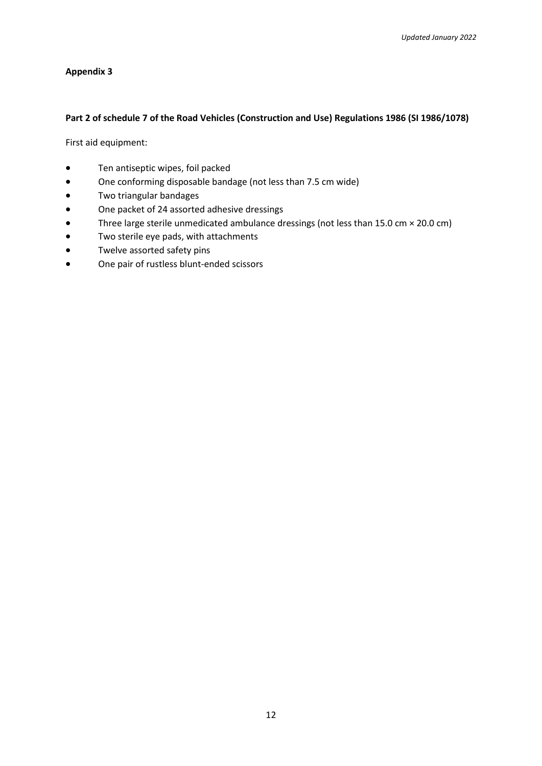## **Part 2 of schedule 7 of the Road Vehicles (Construction and Use) Regulations 1986 (SI 1986/1078)**

First aid equipment:

- Ten antiseptic wipes, foil packed
- One conforming disposable bandage (not less than 7.5 cm wide)
- Two triangular bandages
- One packet of 24 assorted adhesive dressings
- Three large sterile unmedicated ambulance dressings (not less than 15.0 cm × 20.0 cm)
- Two sterile eye pads, with attachments
- Twelve assorted safety pins
- One pair of rustless blunt-ended scissors